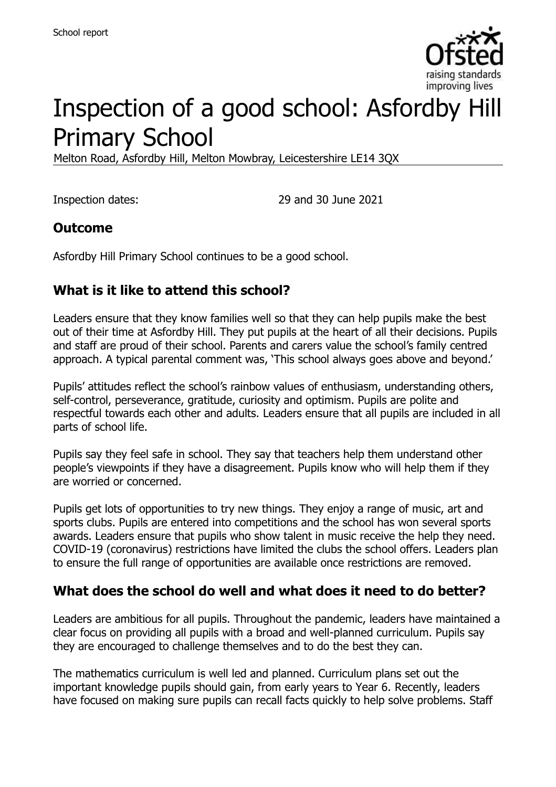

# Inspection of a good school: Asfordby Hill Primary School

Melton Road, Asfordby Hill, Melton Mowbray, Leicestershire LE14 3QX

Inspection dates: 29 and 30 June 2021

#### **Outcome**

Asfordby Hill Primary School continues to be a good school.

# **What is it like to attend this school?**

Leaders ensure that they know families well so that they can help pupils make the best out of their time at Asfordby Hill. They put pupils at the heart of all their decisions. Pupils and staff are proud of their school. Parents and carers value the school's family centred approach. A typical parental comment was, 'This school always goes above and beyond.'

Pupils' attitudes reflect the school's rainbow values of enthusiasm, understanding others, self-control, perseverance, gratitude, curiosity and optimism. Pupils are polite and respectful towards each other and adults. Leaders ensure that all pupils are included in all parts of school life.

Pupils say they feel safe in school. They say that teachers help them understand other people's viewpoints if they have a disagreement. Pupils know who will help them if they are worried or concerned.

Pupils get lots of opportunities to try new things. They enjoy a range of music, art and sports clubs. Pupils are entered into competitions and the school has won several sports awards. Leaders ensure that pupils who show talent in music receive the help they need. COVID-19 (coronavirus) restrictions have limited the clubs the school offers. Leaders plan to ensure the full range of opportunities are available once restrictions are removed.

#### **What does the school do well and what does it need to do better?**

Leaders are ambitious for all pupils. Throughout the pandemic, leaders have maintained a clear focus on providing all pupils with a broad and well-planned curriculum. Pupils say they are encouraged to challenge themselves and to do the best they can.

The mathematics curriculum is well led and planned. Curriculum plans set out the important knowledge pupils should gain, from early years to Year 6. Recently, leaders have focused on making sure pupils can recall facts quickly to help solve problems. Staff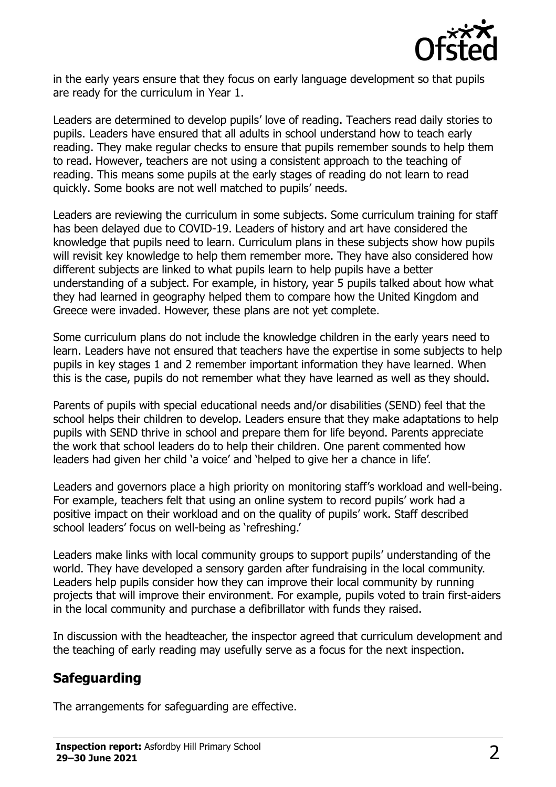

in the early years ensure that they focus on early language development so that pupils are ready for the curriculum in Year 1.

Leaders are determined to develop pupils' love of reading. Teachers read daily stories to pupils. Leaders have ensured that all adults in school understand how to teach early reading. They make regular checks to ensure that pupils remember sounds to help them to read. However, teachers are not using a consistent approach to the teaching of reading. This means some pupils at the early stages of reading do not learn to read quickly. Some books are not well matched to pupils' needs.

Leaders are reviewing the curriculum in some subjects. Some curriculum training for staff has been delayed due to COVID-19. Leaders of history and art have considered the knowledge that pupils need to learn. Curriculum plans in these subjects show how pupils will revisit key knowledge to help them remember more. They have also considered how different subjects are linked to what pupils learn to help pupils have a better understanding of a subject. For example, in history, year 5 pupils talked about how what they had learned in geography helped them to compare how the United Kingdom and Greece were invaded. However, these plans are not yet complete.

Some curriculum plans do not include the knowledge children in the early years need to learn. Leaders have not ensured that teachers have the expertise in some subjects to help pupils in key stages 1 and 2 remember important information they have learned. When this is the case, pupils do not remember what they have learned as well as they should.

Parents of pupils with special educational needs and/or disabilities (SEND) feel that the school helps their children to develop. Leaders ensure that they make adaptations to help pupils with SEND thrive in school and prepare them for life beyond. Parents appreciate the work that school leaders do to help their children. One parent commented how leaders had given her child 'a voice' and 'helped to give her a chance in life'.

Leaders and governors place a high priority on monitoring staff's workload and well-being. For example, teachers felt that using an online system to record pupils' work had a positive impact on their workload and on the quality of pupils' work. Staff described school leaders' focus on well-being as 'refreshing.'

Leaders make links with local community groups to support pupils' understanding of the world. They have developed a sensory garden after fundraising in the local community. Leaders help pupils consider how they can improve their local community by running projects that will improve their environment. For example, pupils voted to train first-aiders in the local community and purchase a defibrillator with funds they raised.

In discussion with the headteacher, the inspector agreed that curriculum development and the teaching of early reading may usefully serve as a focus for the next inspection.

#### **Safeguarding**

The arrangements for safeguarding are effective.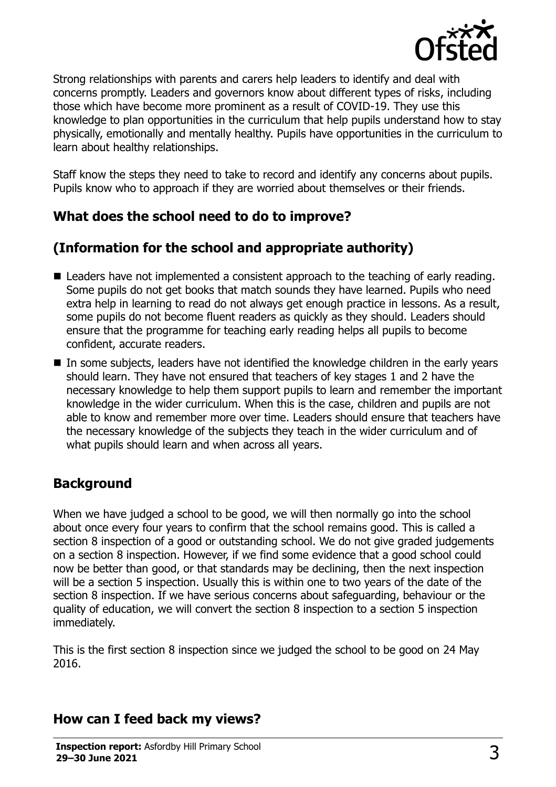

Strong relationships with parents and carers help leaders to identify and deal with concerns promptly. Leaders and governors know about different types of risks, including those which have become more prominent as a result of COVID-19. They use this knowledge to plan opportunities in the curriculum that help pupils understand how to stay physically, emotionally and mentally healthy. Pupils have opportunities in the curriculum to learn about healthy relationships.

Staff know the steps they need to take to record and identify any concerns about pupils. Pupils know who to approach if they are worried about themselves or their friends.

#### **What does the school need to do to improve?**

# **(Information for the school and appropriate authority)**

- Leaders have not implemented a consistent approach to the teaching of early reading. Some pupils do not get books that match sounds they have learned. Pupils who need extra help in learning to read do not always get enough practice in lessons. As a result, some pupils do not become fluent readers as quickly as they should. Leaders should ensure that the programme for teaching early reading helps all pupils to become confident, accurate readers.
- In some subjects, leaders have not identified the knowledge children in the early years should learn. They have not ensured that teachers of key stages 1 and 2 have the necessary knowledge to help them support pupils to learn and remember the important knowledge in the wider curriculum. When this is the case, children and pupils are not able to know and remember more over time. Leaders should ensure that teachers have the necessary knowledge of the subjects they teach in the wider curriculum and of what pupils should learn and when across all years.

# **Background**

When we have judged a school to be good, we will then normally go into the school about once every four years to confirm that the school remains good. This is called a section 8 inspection of a good or outstanding school. We do not give graded judgements on a section 8 inspection. However, if we find some evidence that a good school could now be better than good, or that standards may be declining, then the next inspection will be a section 5 inspection. Usually this is within one to two years of the date of the section 8 inspection. If we have serious concerns about safeguarding, behaviour or the quality of education, we will convert the section 8 inspection to a section 5 inspection immediately.

This is the first section 8 inspection since we judged the school to be good on 24 May 2016.

# **How can I feed back my views?**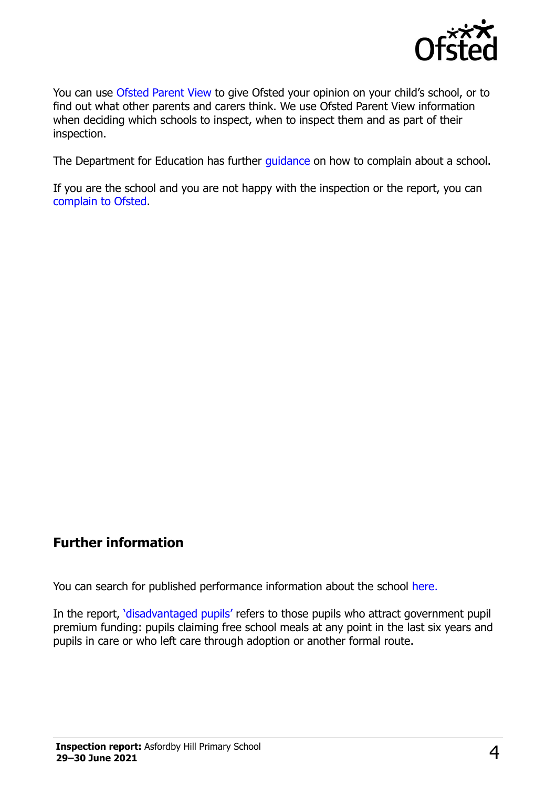

You can use [Ofsted Parent](https://parentview.ofsted.gov.uk/) View to give Ofsted your opinion on your child's school, or to find out what other parents and carers think. We use Ofsted Parent View information when deciding which schools to inspect, when to inspect them and as part of their inspection.

The Department for Education has further quidance on how to complain about a school.

If you are the school and you are not happy with the inspection or the report, you can [complain to Ofsted.](https://www.gov.uk/complain-ofsted-report)

#### **Further information**

You can search for published performance information about the school [here.](http://www.compare-school-performance.service.gov.uk/)

In the report, '[disadvantaged pupils](http://www.gov.uk/guidance/pupil-premium-information-for-schools-and-alternative-provision-settings)' refers to those pupils who attract government pupil premium funding: pupils claiming free school meals at any point in the last six years and pupils in care or who left care through adoption or another formal route.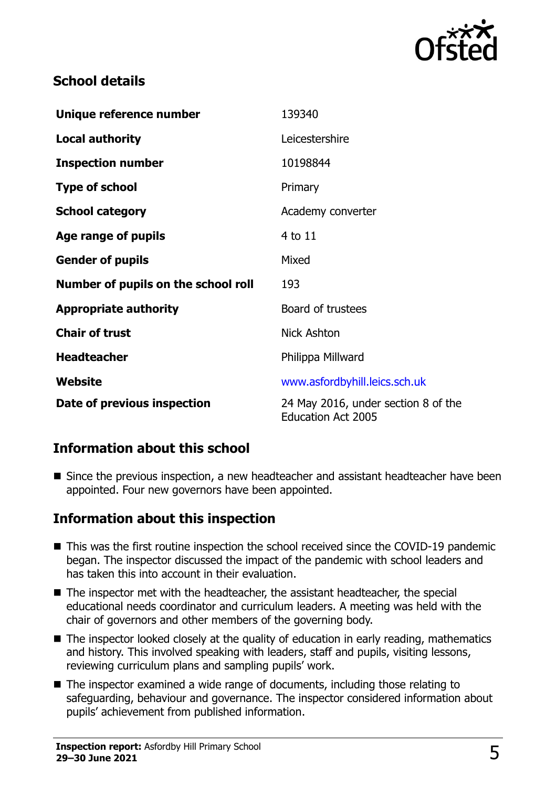

### **School details**

| Unique reference number             | 139340                                                           |
|-------------------------------------|------------------------------------------------------------------|
| <b>Local authority</b>              | Leicestershire                                                   |
| <b>Inspection number</b>            | 10198844                                                         |
| <b>Type of school</b>               | Primary                                                          |
| <b>School category</b>              | Academy converter                                                |
| Age range of pupils                 | 4 to 11                                                          |
| <b>Gender of pupils</b>             | Mixed                                                            |
| Number of pupils on the school roll | 193                                                              |
| <b>Appropriate authority</b>        | Board of trustees                                                |
| <b>Chair of trust</b>               | <b>Nick Ashton</b>                                               |
| <b>Headteacher</b>                  | Philippa Millward                                                |
| Website                             | www.asfordbyhill.leics.sch.uk                                    |
| Date of previous inspection         | 24 May 2016, under section 8 of the<br><b>Education Act 2005</b> |

# **Information about this school**

■ Since the previous inspection, a new headteacher and assistant headteacher have been appointed. Four new governors have been appointed.

#### **Information about this inspection**

- This was the first routine inspection the school received since the COVID-19 pandemic began. The inspector discussed the impact of the pandemic with school leaders and has taken this into account in their evaluation.
- The inspector met with the headteacher, the assistant headteacher, the special educational needs coordinator and curriculum leaders. A meeting was held with the chair of governors and other members of the governing body.
- The inspector looked closely at the quality of education in early reading, mathematics and history. This involved speaking with leaders, staff and pupils, visiting lessons, reviewing curriculum plans and sampling pupils' work.
- The inspector examined a wide range of documents, including those relating to safeguarding, behaviour and governance. The inspector considered information about pupils' achievement from published information.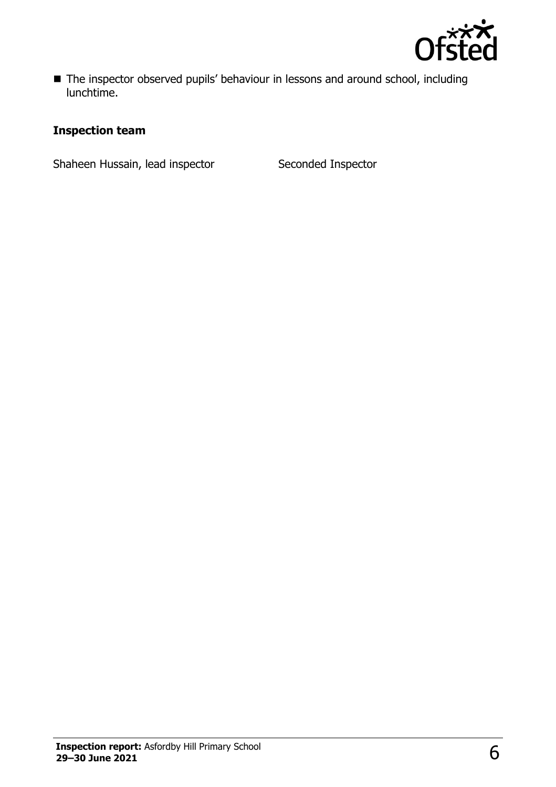

■ The inspector observed pupils' behaviour in lessons and around school, including lunchtime.

#### **Inspection team**

Shaheen Hussain, lead inspector Seconded Inspector